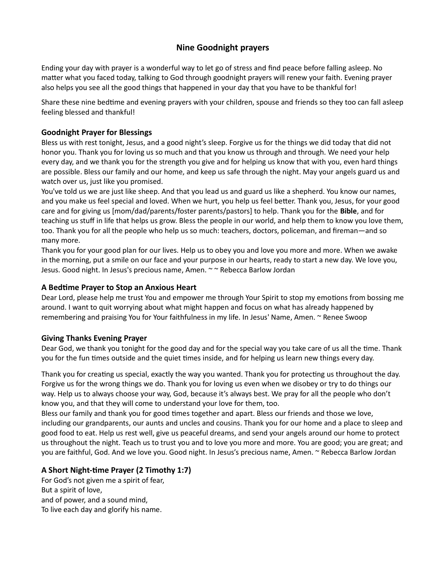# Nine Goodnight prayers

Ending your day with prayer is a wonderful way to let go of stress and find peace before falling asleep. No matter what you faced today, talking to God through goodnight prayers will renew your faith. Evening prayer also helps you see all the good things that happened in your day that you have to be thankful for!

Share these nine bedtime and evening prayers with your children, spouse and friends so they too can fall asleep feeling blessed and thankful!

## Goodnight Prayer for Blessings

Bless us with rest tonight, Jesus, and a good night's sleep. Forgive us for the things we did today that did not honor you. Thank you for loving us so much and that you know us through and through. We need your help every day, and we thank you for the strength you give and for helping us know that with you, even hard things are possible. Bless our family and our home, and keep us safe through the night. May your angels guard us and watch over us, just like you promised.

You've told us we are just like sheep. And that you lead us and guard us like a shepherd. You know our names, and you make us feel special and loved. When we hurt, you help us feel better. Thank you, Jesus, for your good care and for giving us [mom/dad/parents/foster parents/pastors] to help. Thank you for the **Bible**, and for teaching us stuff in life that helps us grow. Bless the people in our world, and help them to know you love them, too. Thank you for all the people who help us so much: teachers, doctors, policeman, and fireman—and so many more.

Thank you for your good plan for our lives. Help us to obey you and love you more and more. When we awake in the morning, put a smile on our face and your purpose in our hearts, ready to start a new day. We love you, Jesus. Good night. In Jesus's precious name, Amen. ~ ~ Rebecca Barlow Jordan

### A Bedtime Prayer to Stop an Anxious Heart

Dear Lord, please help me trust You and empower me through Your Spirit to stop my emotions from bossing me around. I want to quit worrying about what might happen and focus on what has already happened by remembering and praising You for Your faithfulness in my life. In Jesus' Name, Amen. ~ Renee Swoop

## Giving Thanks Evening Prayer

Dear God, we thank you tonight for the good day and for the special way you take care of us all the time. Thank you for the fun times outside and the quiet times inside, and for helping us learn new things every day.

Thank you for creating us special, exactly the way you wanted. Thank you for protecting us throughout the day. Forgive us for the wrong things we do. Thank you for loving us even when we disobey or try to do things our way. Help us to always choose your way, God, because it's always best. We pray for all the people who don't know you, and that they will come to understand your love for them, too.

Bless our family and thank you for good times together and apart. Bless our friends and those we love, including our grandparents, our aunts and uncles and cousins. Thank you for our home and a place to sleep and good food to eat. Help us rest well, give us peaceful dreams, and send your angels around our home to protect us throughout the night. Teach us to trust you and to love you more and more. You are good; you are great; and you are faithful, God. And we love you. Good night. In Jesus's precious name, Amen. ~ Rebecca Barlow Jordan

## A Short Night-time Prayer (2 Timothy 1:7)

For God's not given me a spirit of fear, But a spirit of love, and of power, and a sound mind, To live each day and glorify his name.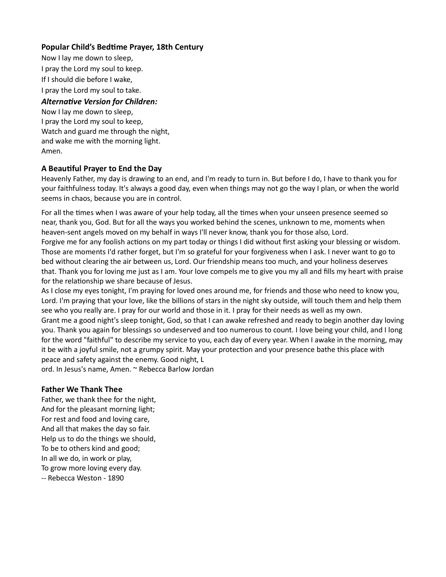## Popular Child's Bedtime Prayer, 18th Century

Now I lay me down to sleep, I pray the Lord my soul to keep. If I should die before I wake, I pray the Lord my soul to take.

### Alternative Version for Children:

Now I lay me down to sleep, I pray the Lord my soul to keep, Watch and guard me through the night, and wake me with the morning light. Amen.

### A BeauƟful Prayer to End the Day

Heavenly Father, my day is drawing to an end, and I'm ready to turn in. But before I do, I have to thank you for your faithfulness today. It's always a good day, even when things may not go the way I plan, or when the world seems in chaos, because you are in control.

For all the times when I was aware of your help today, all the times when your unseen presence seemed so near, thank you, God. But for all the ways you worked behind the scenes, unknown to me, moments when heaven-sent angels moved on my behalf in ways I'll never know, thank you for those also, Lord. Forgive me for any foolish actions on my part today or things I did without first asking your blessing or wisdom. Those are moments I'd rather forget, but I'm so grateful for your forgiveness when I ask. I never want to go to bed without clearing the air between us, Lord. Our friendship means too much, and your holiness deserves that. Thank you for loving me just as I am. Your love compels me to give you my all and fills my heart with praise for the relationship we share because of Jesus.

As I close my eyes tonight, I'm praying for loved ones around me, for friends and those who need to know you, Lord. I'm praying that your love, like the billions of stars in the night sky outside, will touch them and help them see who you really are. I pray for our world and those in it. I pray for their needs as well as my own. Grant me a good night's sleep tonight, God, so that I can awake refreshed and ready to begin another day loving you. Thank you again for blessings so undeserved and too numerous to count. I love being your child, and I long for the word "faithful" to describe my service to you, each day of every year. When I awake in the morning, may it be with a joyful smile, not a grumpy spirit. May your protection and your presence bathe this place with peace and safety against the enemy. Good night, L

ord. In Jesus's name, Amen. ~ Rebecca Barlow Jordan

#### Father We Thank Thee

Father, we thank thee for the night, And for the pleasant morning light; For rest and food and loving care, And all that makes the day so fair. Help us to do the things we should, To be to others kind and good; In all we do, in work or play, To grow more loving every day. -- Rebecca Weston - 1890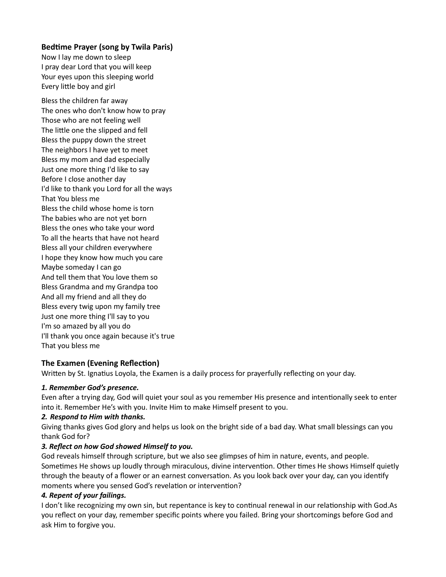## Bedtime Prayer (song by Twila Paris)

Now I lay me down to sleep I pray dear Lord that you will keep Your eyes upon this sleeping world Every little boy and girl

Bless the children far away The ones who don't know how to pray Those who are not feeling well The little one the slipped and fell Bless the puppy down the street The neighbors I have yet to meet Bless my mom and dad especially Just one more thing I'd like to say Before I close another day I'd like to thank you Lord for all the ways That You bless me Bless the child whose home is torn The babies who are not yet born Bless the ones who take your word To all the hearts that have not heard Bless all your children everywhere I hope they know how much you care Maybe someday I can go And tell them that You love them so Bless Grandma and my Grandpa too And all my friend and all they do Bless every twig upon my family tree Just one more thing I'll say to you I'm so amazed by all you do I'll thank you once again because it's true That you bless me

# The Examen (Evening Reflection)

Written by St. Ignatius Loyola, the Examen is a daily process for prayerfully reflecting on your day.

## 1. Remember God's presence.

Even after a trying day, God will quiet your soul as you remember His presence and intentionally seek to enter into it. Remember He's with you. Invite Him to make Himself present to you.

## 2. Respond to Him with thanks.

Giving thanks gives God glory and helps us look on the bright side of a bad day. What small blessings can you thank God for?

## 3. Reflect on how God showed Himself to you.

God reveals himself through scripture, but we also see glimpses of him in nature, events, and people. Sometimes He shows up loudly through miraculous, divine intervention. Other times He shows Himself quietly through the beauty of a flower or an earnest conversation. As you look back over your day, can you identify moments where you sensed God's revelation or intervention?

## 4. Repent of your failings.

I don't like recognizing my own sin, but repentance is key to continual renewal in our relationship with God.As you reflect on your day, remember specific points where you failed. Bring your shortcomings before God and ask Him to forgive you.